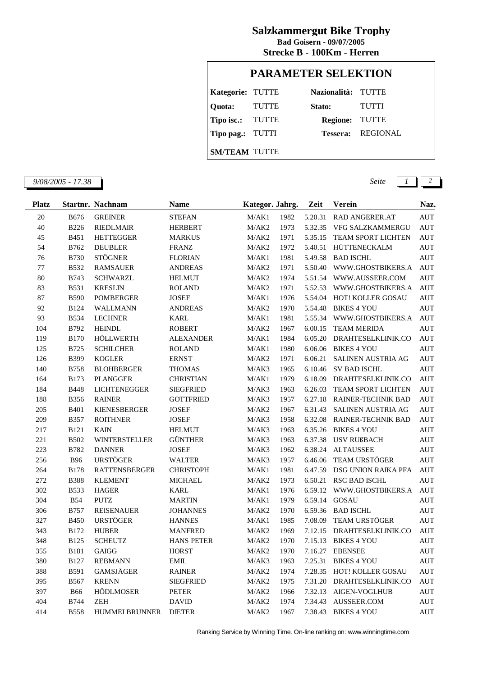## **Salzkammergut Bike Trophy**

**Strecke B - 100Km - Herren Bad Goisern - 09/07/2005**

## **PARAMETER SELEKTION**

| Kategorie: TUTTE     |       | Nazionalità: TUTTE |                          |
|----------------------|-------|--------------------|--------------------------|
| Quota:               | TUTTE | Stato:             | <b>TUTTI</b>             |
| Tipo isc.: TUTTE     |       | Regione: TUTTE     |                          |
| Tipo pag.: TUTTI     |       |                    | <b>Tessera:</b> REGIONAL |
| <b>SM/TEAM TUTTE</b> |       |                    |                          |

*9/08/2005 - 17.38 Seite 1 2*

| 1982<br>20<br><b>B676</b><br><b>GREINER</b><br><b>STEFAN</b><br>M/AK1<br>5.20.31<br>RAD ANGERER.AT<br>40<br><b>B226</b><br>M/AK2<br>1973<br>5.32.35<br>VFG SALZKAMMERGU<br><b>RIEDLMAIR</b><br><b>HERBERT</b><br>45<br>1971<br>5.35.15<br><b>B451</b><br><b>HETTEGGER</b><br><b>MARKUS</b><br>M/AK2<br><b>TEAM SPORT LICHTEN</b><br>54<br>B762<br><b>DEUBLER</b><br>1972<br>5.40.51<br>HÜTTENECKALM<br><b>FRANZ</b><br>M/AK2<br>76<br><b>STÖGNER</b><br>1981<br>5.49.58<br><b>B730</b><br>M/AK1<br><b>BAD ISCHL</b><br><b>FLORIAN</b><br>77<br><b>B532</b><br><b>RAMSAUER</b><br>M/AK2<br>1971<br>5.50.40<br>WWW.GHOSTBIKERS.A<br><b>ANDREAS</b><br>$80\,$<br>B743<br>1974<br>5.51.54<br><b>SCHWARZL</b><br><b>HELMUT</b><br>M/AK2<br>WWW.AUSSEER.COM<br>83<br><b>B531</b><br><b>KRESLIN</b><br>1971<br>5.52.53<br><b>ROLAND</b><br>M/AK2<br>WWW.GHOSTBIKERS.A<br>87<br><b>B590</b><br>1976<br>5.54.04<br>HOT! KOLLER GOSAU<br><b>POMBERGER</b><br><b>JOSEF</b><br>M/AK1<br>1970<br>92<br><b>B124</b><br>M/AK2<br>5.54.48<br><b>BIKES 4 YOU</b><br>WALLMANN<br><b>ANDREAS</b><br>93<br><b>B534</b><br><b>LECHNER</b><br>1981<br>5.55.34<br>WWW.GHOSTBIKERS.A<br><b>KARL</b><br>M/AK1<br>104<br>B792<br><b>HEINDL</b><br><b>ROBERT</b><br>1967<br>6.00.15<br><b>TEAM MERIDA</b><br>M/AK2 | Naz.       |
|-----------------------------------------------------------------------------------------------------------------------------------------------------------------------------------------------------------------------------------------------------------------------------------------------------------------------------------------------------------------------------------------------------------------------------------------------------------------------------------------------------------------------------------------------------------------------------------------------------------------------------------------------------------------------------------------------------------------------------------------------------------------------------------------------------------------------------------------------------------------------------------------------------------------------------------------------------------------------------------------------------------------------------------------------------------------------------------------------------------------------------------------------------------------------------------------------------------------------------------------------------------------------------------------|------------|
|                                                                                                                                                                                                                                                                                                                                                                                                                                                                                                                                                                                                                                                                                                                                                                                                                                                                                                                                                                                                                                                                                                                                                                                                                                                                                         | <b>AUT</b> |
|                                                                                                                                                                                                                                                                                                                                                                                                                                                                                                                                                                                                                                                                                                                                                                                                                                                                                                                                                                                                                                                                                                                                                                                                                                                                                         | <b>AUT</b> |
|                                                                                                                                                                                                                                                                                                                                                                                                                                                                                                                                                                                                                                                                                                                                                                                                                                                                                                                                                                                                                                                                                                                                                                                                                                                                                         | <b>AUT</b> |
|                                                                                                                                                                                                                                                                                                                                                                                                                                                                                                                                                                                                                                                                                                                                                                                                                                                                                                                                                                                                                                                                                                                                                                                                                                                                                         | <b>AUT</b> |
|                                                                                                                                                                                                                                                                                                                                                                                                                                                                                                                                                                                                                                                                                                                                                                                                                                                                                                                                                                                                                                                                                                                                                                                                                                                                                         | <b>AUT</b> |
|                                                                                                                                                                                                                                                                                                                                                                                                                                                                                                                                                                                                                                                                                                                                                                                                                                                                                                                                                                                                                                                                                                                                                                                                                                                                                         | <b>AUT</b> |
|                                                                                                                                                                                                                                                                                                                                                                                                                                                                                                                                                                                                                                                                                                                                                                                                                                                                                                                                                                                                                                                                                                                                                                                                                                                                                         | <b>AUT</b> |
|                                                                                                                                                                                                                                                                                                                                                                                                                                                                                                                                                                                                                                                                                                                                                                                                                                                                                                                                                                                                                                                                                                                                                                                                                                                                                         | <b>AUT</b> |
|                                                                                                                                                                                                                                                                                                                                                                                                                                                                                                                                                                                                                                                                                                                                                                                                                                                                                                                                                                                                                                                                                                                                                                                                                                                                                         | <b>AUT</b> |
|                                                                                                                                                                                                                                                                                                                                                                                                                                                                                                                                                                                                                                                                                                                                                                                                                                                                                                                                                                                                                                                                                                                                                                                                                                                                                         | <b>AUT</b> |
|                                                                                                                                                                                                                                                                                                                                                                                                                                                                                                                                                                                                                                                                                                                                                                                                                                                                                                                                                                                                                                                                                                                                                                                                                                                                                         | <b>AUT</b> |
|                                                                                                                                                                                                                                                                                                                                                                                                                                                                                                                                                                                                                                                                                                                                                                                                                                                                                                                                                                                                                                                                                                                                                                                                                                                                                         | <b>AUT</b> |
| 119<br><b>B170</b><br><b>HÖLLWERTH</b><br>1984<br>6.05.20<br><b>ALEXANDER</b><br>M/AK1<br>DRAHTESELKLINIK.CO                                                                                                                                                                                                                                                                                                                                                                                                                                                                                                                                                                                                                                                                                                                                                                                                                                                                                                                                                                                                                                                                                                                                                                            | <b>AUT</b> |
| 125<br>B725<br><b>SCHILCHER</b><br>1980<br>6.06.06<br><b>BIKES 4 YOU</b><br><b>ROLAND</b><br>M/AK1                                                                                                                                                                                                                                                                                                                                                                                                                                                                                                                                                                                                                                                                                                                                                                                                                                                                                                                                                                                                                                                                                                                                                                                      | <b>AUT</b> |
| B399<br>126<br><b>KOGLER</b><br><b>ERNST</b><br>M/AK2<br>1971<br>6.06.21<br>SALINEN AUSTRIA AG                                                                                                                                                                                                                                                                                                                                                                                                                                                                                                                                                                                                                                                                                                                                                                                                                                                                                                                                                                                                                                                                                                                                                                                          | <b>AUT</b> |
| 140<br><b>B758</b><br><b>BLOHBERGER</b><br>1965<br>6.10.46<br><b>SV BAD ISCHL</b><br><b>THOMAS</b><br>M/AK3                                                                                                                                                                                                                                                                                                                                                                                                                                                                                                                                                                                                                                                                                                                                                                                                                                                                                                                                                                                                                                                                                                                                                                             | <b>AUT</b> |
| 164<br><b>B173</b><br><b>PLANGGER</b><br>M/AK1<br>1979<br>6.18.09<br>DRAHTESELKLINIK.CO<br><b>CHRISTIAN</b>                                                                                                                                                                                                                                                                                                                                                                                                                                                                                                                                                                                                                                                                                                                                                                                                                                                                                                                                                                                                                                                                                                                                                                             | <b>AUT</b> |
| 184<br><b>B448</b><br><b>LICHTENEGGER</b><br><b>SIEGFRIED</b><br>M/AK3<br>1963<br>6.26.03<br>TEAM SPORT LICHTEN                                                                                                                                                                                                                                                                                                                                                                                                                                                                                                                                                                                                                                                                                                                                                                                                                                                                                                                                                                                                                                                                                                                                                                         | <b>AUT</b> |
| <b>B356</b><br>1957<br>6.27.18<br>RAINER-TECHNIK BAD<br>188<br><b>RAINER</b><br><b>GOTTFRIED</b><br>M/AK3                                                                                                                                                                                                                                                                                                                                                                                                                                                                                                                                                                                                                                                                                                                                                                                                                                                                                                                                                                                                                                                                                                                                                                               | <b>AUT</b> |
| 205<br><b>B401</b><br><b>KIENESBERGER</b><br>M/AK2<br>1967<br>6.31.43<br>SALINEN AUSTRIA AG<br>JOSEF                                                                                                                                                                                                                                                                                                                                                                                                                                                                                                                                                                                                                                                                                                                                                                                                                                                                                                                                                                                                                                                                                                                                                                                    | <b>AUT</b> |
| 209<br><b>B357</b><br><b>ROITHNER</b><br>1958<br>6.32.08<br>RAINER-TECHNIK BAD<br>JOSEF<br>M/AK3                                                                                                                                                                                                                                                                                                                                                                                                                                                                                                                                                                                                                                                                                                                                                                                                                                                                                                                                                                                                                                                                                                                                                                                        | <b>AUT</b> |
| 217<br><b>B121</b><br><b>KAIN</b><br>1963<br>6.35.26<br><b>BIKES 4 YOU</b><br><b>HELMUT</b><br>M/AK3                                                                                                                                                                                                                                                                                                                                                                                                                                                                                                                                                                                                                                                                                                                                                                                                                                                                                                                                                                                                                                                                                                                                                                                    | <b>AUT</b> |
| 221<br><b>B502</b><br><b>WINTERSTELLER</b><br><b>GÜNTHER</b><br>1963<br>6.37.38<br>M/AK3<br>USV RUßBACH                                                                                                                                                                                                                                                                                                                                                                                                                                                                                                                                                                                                                                                                                                                                                                                                                                                                                                                                                                                                                                                                                                                                                                                 | <b>AUT</b> |
| 223<br>B782<br><b>DANNER</b><br><b>JOSEF</b><br>1962<br>6.38.24<br><b>ALTAUSSEE</b><br>M/AK3                                                                                                                                                                                                                                                                                                                                                                                                                                                                                                                                                                                                                                                                                                                                                                                                                                                                                                                                                                                                                                                                                                                                                                                            | <b>AUT</b> |
| <b>B96</b><br><b>URSTÖGER</b><br>1957<br>256<br>M/AK3<br>6.46.06<br><b>TEAM URSTÖGER</b><br><b>WALTER</b>                                                                                                                                                                                                                                                                                                                                                                                                                                                                                                                                                                                                                                                                                                                                                                                                                                                                                                                                                                                                                                                                                                                                                                               | <b>AUT</b> |
| 1981<br>264<br><b>B178</b><br><b>RATTENSBERGER</b><br><b>CHRISTOPH</b><br>6.47.59<br>DSG UNION RAIKA PFA<br>M/AK1                                                                                                                                                                                                                                                                                                                                                                                                                                                                                                                                                                                                                                                                                                                                                                                                                                                                                                                                                                                                                                                                                                                                                                       | <b>AUT</b> |
| 272<br><b>B388</b><br><b>KLEMENT</b><br><b>MICHAEL</b><br>M/AK2<br>1973<br>6.50.21<br>RSC BAD ISCHL                                                                                                                                                                                                                                                                                                                                                                                                                                                                                                                                                                                                                                                                                                                                                                                                                                                                                                                                                                                                                                                                                                                                                                                     | <b>AUT</b> |
| 302<br><b>B533</b><br><b>HAGER</b><br><b>KARL</b><br>M/AK1<br>1976<br>6.59.12<br>WWW.GHOSTBIKERS.A                                                                                                                                                                                                                                                                                                                                                                                                                                                                                                                                                                                                                                                                                                                                                                                                                                                                                                                                                                                                                                                                                                                                                                                      | <b>AUT</b> |
| 304<br><b>B54</b><br>1979<br>6.59.14<br><b>GOSAU</b><br><b>PUTZ</b><br><b>MARTIN</b><br>M/AK1                                                                                                                                                                                                                                                                                                                                                                                                                                                                                                                                                                                                                                                                                                                                                                                                                                                                                                                                                                                                                                                                                                                                                                                           | <b>AUT</b> |
| <b>B757</b><br>1970<br>306<br><b>REISENAUER</b><br>M/AK2<br>6.59.36<br><b>BAD ISCHL</b><br><b>JOHANNES</b>                                                                                                                                                                                                                                                                                                                                                                                                                                                                                                                                                                                                                                                                                                                                                                                                                                                                                                                                                                                                                                                                                                                                                                              | <b>AUT</b> |
| <b>URSTÖGER</b><br>327<br><b>B450</b><br>1985<br>7.08.09<br><b>TEAM URSTÖGER</b><br><b>HANNES</b><br>M/AK1                                                                                                                                                                                                                                                                                                                                                                                                                                                                                                                                                                                                                                                                                                                                                                                                                                                                                                                                                                                                                                                                                                                                                                              | <b>AUT</b> |
| 343<br>B172<br><b>HUBER</b><br>1969<br>7.12.15<br>DRAHTESELKLINIK.CO<br><b>MANFRED</b><br>M/AK2                                                                                                                                                                                                                                                                                                                                                                                                                                                                                                                                                                                                                                                                                                                                                                                                                                                                                                                                                                                                                                                                                                                                                                                         | <b>AUT</b> |
| 348<br><b>B125</b><br>1970<br>7.15.13<br><b>SCHEUTZ</b><br><b>HANS PETER</b><br>M/AK2<br><b>BIKES 4 YOU</b>                                                                                                                                                                                                                                                                                                                                                                                                                                                                                                                                                                                                                                                                                                                                                                                                                                                                                                                                                                                                                                                                                                                                                                             | <b>AUT</b> |
| 355<br><b>B181</b><br>1970<br>7.16.27<br><b>EBENSEE</b><br><b>GAIGG</b><br><b>HORST</b><br>M/AK2                                                                                                                                                                                                                                                                                                                                                                                                                                                                                                                                                                                                                                                                                                                                                                                                                                                                                                                                                                                                                                                                                                                                                                                        | <b>AUT</b> |
| <b>B127</b><br>7.25.31<br>380<br><b>REBMANN</b><br>M/AK3<br>1963<br><b>BIKES 4 YOU</b><br><b>EMIL</b>                                                                                                                                                                                                                                                                                                                                                                                                                                                                                                                                                                                                                                                                                                                                                                                                                                                                                                                                                                                                                                                                                                                                                                                   | <b>AUT</b> |
| GAMSJÄGER<br>388<br><b>B591</b><br><b>RAINER</b><br>1974<br>7.28.35<br>M/AK2<br>HOT! KOLLER GOSAU                                                                                                                                                                                                                                                                                                                                                                                                                                                                                                                                                                                                                                                                                                                                                                                                                                                                                                                                                                                                                                                                                                                                                                                       | <b>AUT</b> |
| 395<br><b>B567</b><br><b>KRENN</b><br><b>SIEGFRIED</b><br>1975<br>7.31.20<br>DRAHTESELKLINIK.CO<br>M/AK2                                                                                                                                                                                                                                                                                                                                                                                                                                                                                                                                                                                                                                                                                                                                                                                                                                                                                                                                                                                                                                                                                                                                                                                | <b>AUT</b> |
| 397<br><b>B66</b><br>HÖDLMOSER<br>PETER<br>1966<br>7.32.13<br>AIGEN-VOGLHUB<br>M/AK2                                                                                                                                                                                                                                                                                                                                                                                                                                                                                                                                                                                                                                                                                                                                                                                                                                                                                                                                                                                                                                                                                                                                                                                                    | <b>AUT</b> |
| 404<br><b>B744</b><br><b>ZEH</b><br>M/AK2<br>1974<br>7.34.43<br>AUSSEER.COM<br><b>DAVID</b>                                                                                                                                                                                                                                                                                                                                                                                                                                                                                                                                                                                                                                                                                                                                                                                                                                                                                                                                                                                                                                                                                                                                                                                             | <b>AUT</b> |
| 1967<br>414<br><b>B558</b><br><b>DIETER</b><br>M/AK2<br>7.38.43<br><b>BIKES 4 YOU</b><br>HUMMELBRUNNER                                                                                                                                                                                                                                                                                                                                                                                                                                                                                                                                                                                                                                                                                                                                                                                                                                                                                                                                                                                                                                                                                                                                                                                  | <b>AUT</b> |

Ranking Service by Winning Time. On-line ranking on: www.winningtime.com